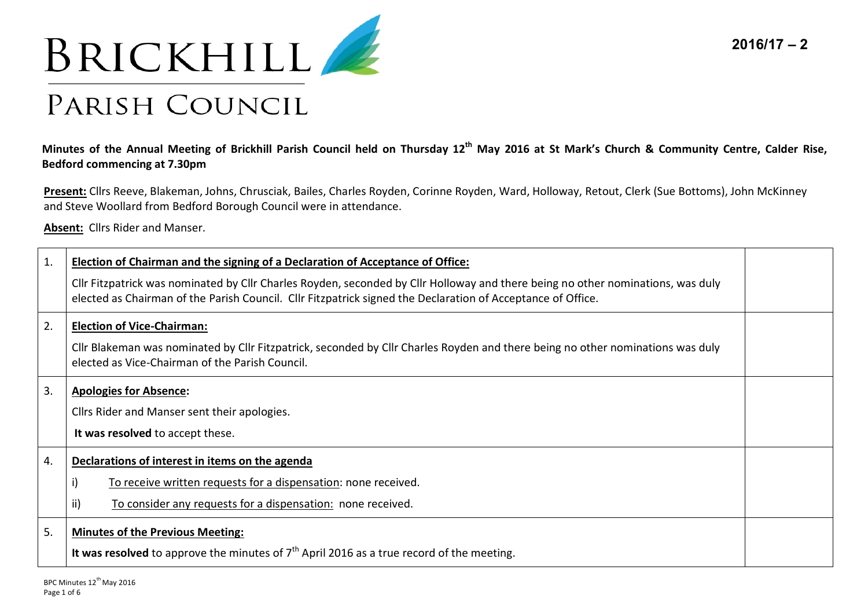



## PARISH COUNCIL

## **Minutes of the Annual Meeting of Brickhill Parish Council held on Thursday 12th May 2016 at St Mark's Church & Community Centre, Calder Rise, Bedford commencing at 7.30pm**

**Present:** Cllrs Reeve, Blakeman, Johns, Chrusciak, Bailes, Charles Royden, Corinne Royden, Ward, Holloway, Retout, Clerk (Sue Bottoms), John McKinney and Steve Woollard from Bedford Borough Council were in attendance.

**Absent:** Cllrs Rider and Manser.

| 1. | Election of Chairman and the signing of a Declaration of Acceptance of Office:                                                                                                                                                                 |  |
|----|------------------------------------------------------------------------------------------------------------------------------------------------------------------------------------------------------------------------------------------------|--|
|    | Cllr Fitzpatrick was nominated by Cllr Charles Royden, seconded by Cllr Holloway and there being no other nominations, was duly<br>elected as Chairman of the Parish Council. Cllr Fitzpatrick signed the Declaration of Acceptance of Office. |  |
| 2. | <b>Election of Vice-Chairman:</b>                                                                                                                                                                                                              |  |
|    | Cllr Blakeman was nominated by Cllr Fitzpatrick, seconded by Cllr Charles Royden and there being no other nominations was duly<br>elected as Vice-Chairman of the Parish Council.                                                              |  |
| 3. | <b>Apologies for Absence:</b>                                                                                                                                                                                                                  |  |
|    | Cllrs Rider and Manser sent their apologies.                                                                                                                                                                                                   |  |
|    | It was resolved to accept these.                                                                                                                                                                                                               |  |
| 4. | Declarations of interest in items on the agenda                                                                                                                                                                                                |  |
|    | i)<br>To receive written requests for a dispensation: none received.                                                                                                                                                                           |  |
|    | ii)<br>To consider any requests for a dispensation: none received.                                                                                                                                                                             |  |
| 5. | <b>Minutes of the Previous Meeting:</b>                                                                                                                                                                                                        |  |
|    | It was resolved to approve the minutes of $7th$ April 2016 as a true record of the meeting.                                                                                                                                                    |  |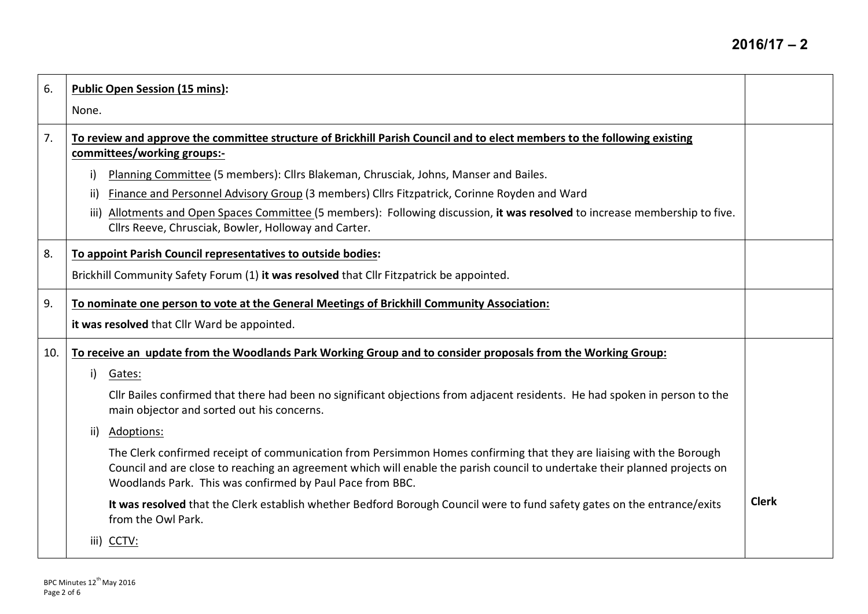| 6.  | <b>Public Open Session (15 mins):</b><br>None.                                                                                                                                                                                                                                                                                                                                                                                                                                                                                                                                                                                                                                                                                                                                                                    |              |
|-----|-------------------------------------------------------------------------------------------------------------------------------------------------------------------------------------------------------------------------------------------------------------------------------------------------------------------------------------------------------------------------------------------------------------------------------------------------------------------------------------------------------------------------------------------------------------------------------------------------------------------------------------------------------------------------------------------------------------------------------------------------------------------------------------------------------------------|--------------|
| 7.  | To review and approve the committee structure of Brickhill Parish Council and to elect members to the following existing<br>committees/working groups:-<br>Planning Committee (5 members): Cllrs Blakeman, Chrusciak, Johns, Manser and Bailes.<br>i).<br>Finance and Personnel Advisory Group (3 members) Cllrs Fitzpatrick, Corinne Royden and Ward<br>ii)<br>Allotments and Open Spaces Committee (5 members): Following discussion, it was resolved to increase membership to five.<br>iii)<br>Cllrs Reeve, Chrusciak, Bowler, Holloway and Carter.                                                                                                                                                                                                                                                           |              |
| 8.  | To appoint Parish Council representatives to outside bodies:<br>Brickhill Community Safety Forum (1) it was resolved that Cllr Fitzpatrick be appointed.                                                                                                                                                                                                                                                                                                                                                                                                                                                                                                                                                                                                                                                          |              |
| 9.  | To nominate one person to vote at the General Meetings of Brickhill Community Association:<br>it was resolved that Cllr Ward be appointed.                                                                                                                                                                                                                                                                                                                                                                                                                                                                                                                                                                                                                                                                        |              |
| 10. | To receive an update from the Woodlands Park Working Group and to consider proposals from the Working Group:<br>i)<br>Gates:<br>Cllr Bailes confirmed that there had been no significant objections from adjacent residents. He had spoken in person to the<br>main objector and sorted out his concerns.<br>Adoptions:<br>ii)<br>The Clerk confirmed receipt of communication from Persimmon Homes confirming that they are liaising with the Borough<br>Council and are close to reaching an agreement which will enable the parish council to undertake their planned projects on<br>Woodlands Park. This was confirmed by Paul Pace from BBC.<br>It was resolved that the Clerk establish whether Bedford Borough Council were to fund safety gates on the entrance/exits<br>from the Owl Park.<br>iii) CCTV: | <b>Clerk</b> |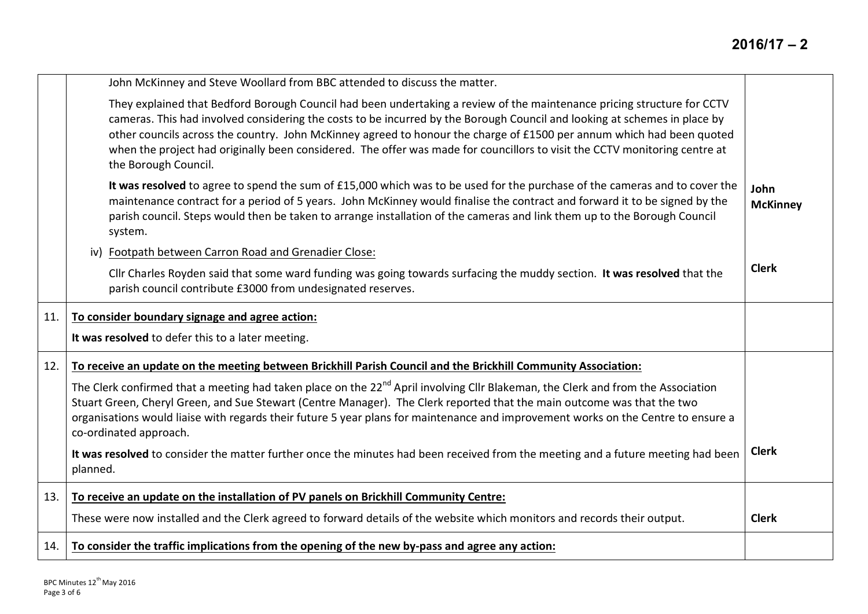|     | John McKinney and Steve Woollard from BBC attended to discuss the matter.                                                                                                                                                                                                                                                                                                                                                                                                                                                           |                         |
|-----|-------------------------------------------------------------------------------------------------------------------------------------------------------------------------------------------------------------------------------------------------------------------------------------------------------------------------------------------------------------------------------------------------------------------------------------------------------------------------------------------------------------------------------------|-------------------------|
|     | They explained that Bedford Borough Council had been undertaking a review of the maintenance pricing structure for CCTV<br>cameras. This had involved considering the costs to be incurred by the Borough Council and looking at schemes in place by<br>other councils across the country. John McKinney agreed to honour the charge of £1500 per annum which had been quoted<br>when the project had originally been considered. The offer was made for councillors to visit the CCTV monitoring centre at<br>the Borough Council. |                         |
|     | It was resolved to agree to spend the sum of £15,000 which was to be used for the purchase of the cameras and to cover the<br>maintenance contract for a period of 5 years. John McKinney would finalise the contract and forward it to be signed by the<br>parish council. Steps would then be taken to arrange installation of the cameras and link them up to the Borough Council<br>system.                                                                                                                                     | John<br><b>McKinney</b> |
|     | iv) Footpath between Carron Road and Grenadier Close:                                                                                                                                                                                                                                                                                                                                                                                                                                                                               |                         |
|     | Cllr Charles Royden said that some ward funding was going towards surfacing the muddy section. It was resolved that the<br>parish council contribute £3000 from undesignated reserves.                                                                                                                                                                                                                                                                                                                                              | <b>Clerk</b>            |
| 11. | To consider boundary signage and agree action:                                                                                                                                                                                                                                                                                                                                                                                                                                                                                      |                         |
|     | It was resolved to defer this to a later meeting.                                                                                                                                                                                                                                                                                                                                                                                                                                                                                   |                         |
| 12. | To receive an update on the meeting between Brickhill Parish Council and the Brickhill Community Association:                                                                                                                                                                                                                                                                                                                                                                                                                       |                         |
|     | The Clerk confirmed that a meeting had taken place on the 22 <sup>nd</sup> April involving Cllr Blakeman, the Clerk and from the Association<br>Stuart Green, Cheryl Green, and Sue Stewart (Centre Manager). The Clerk reported that the main outcome was that the two<br>organisations would liaise with regards their future 5 year plans for maintenance and improvement works on the Centre to ensure a<br>co-ordinated approach.                                                                                              |                         |
|     | It was resolved to consider the matter further once the minutes had been received from the meeting and a future meeting had been<br>planned.                                                                                                                                                                                                                                                                                                                                                                                        | <b>Clerk</b>            |
| 13. | To receive an update on the installation of PV panels on Brickhill Community Centre:                                                                                                                                                                                                                                                                                                                                                                                                                                                |                         |
|     | These were now installed and the Clerk agreed to forward details of the website which monitors and records their output.                                                                                                                                                                                                                                                                                                                                                                                                            | <b>Clerk</b>            |
| 14. | To consider the traffic implications from the opening of the new by-pass and agree any action:                                                                                                                                                                                                                                                                                                                                                                                                                                      |                         |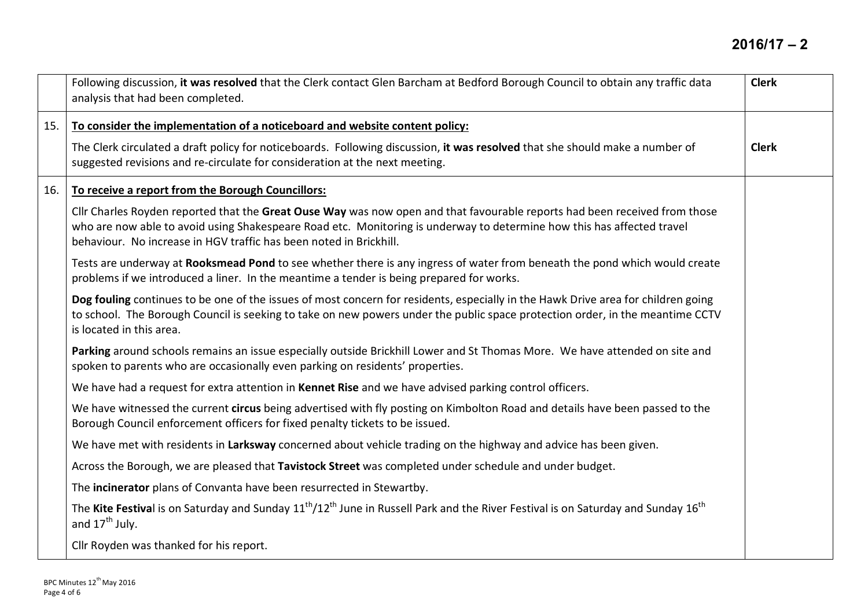|     | Following discussion, it was resolved that the Clerk contact Glen Barcham at Bedford Borough Council to obtain any traffic data<br>analysis that had been completed.                                                                                                                                                       | <b>Clerk</b> |
|-----|----------------------------------------------------------------------------------------------------------------------------------------------------------------------------------------------------------------------------------------------------------------------------------------------------------------------------|--------------|
| 15. | To consider the implementation of a noticeboard and website content policy:                                                                                                                                                                                                                                                |              |
|     | The Clerk circulated a draft policy for noticeboards. Following discussion, it was resolved that she should make a number of<br>suggested revisions and re-circulate for consideration at the next meeting.                                                                                                                | <b>Clerk</b> |
| 16. | To receive a report from the Borough Councillors:                                                                                                                                                                                                                                                                          |              |
|     | Cllr Charles Royden reported that the Great Ouse Way was now open and that favourable reports had been received from those<br>who are now able to avoid using Shakespeare Road etc. Monitoring is underway to determine how this has affected travel<br>behaviour. No increase in HGV traffic has been noted in Brickhill. |              |
|     | Tests are underway at Rooksmead Pond to see whether there is any ingress of water from beneath the pond which would create<br>problems if we introduced a liner. In the meantime a tender is being prepared for works.                                                                                                     |              |
|     | Dog fouling continues to be one of the issues of most concern for residents, especially in the Hawk Drive area for children going<br>to school. The Borough Council is seeking to take on new powers under the public space protection order, in the meantime CCTV<br>is located in this area.                             |              |
|     | Parking around schools remains an issue especially outside Brickhill Lower and St Thomas More. We have attended on site and<br>spoken to parents who are occasionally even parking on residents' properties.                                                                                                               |              |
|     | We have had a request for extra attention in Kennet Rise and we have advised parking control officers.                                                                                                                                                                                                                     |              |
|     | We have witnessed the current circus being advertised with fly posting on Kimbolton Road and details have been passed to the<br>Borough Council enforcement officers for fixed penalty tickets to be issued.                                                                                                               |              |
|     | We have met with residents in Larksway concerned about vehicle trading on the highway and advice has been given.                                                                                                                                                                                                           |              |
|     | Across the Borough, we are pleased that Tavistock Street was completed under schedule and under budget.                                                                                                                                                                                                                    |              |
|     | The incinerator plans of Convanta have been resurrected in Stewartby.                                                                                                                                                                                                                                                      |              |
|     | The Kite Festival is on Saturday and Sunday 11 <sup>th</sup> /12 <sup>th</sup> June in Russell Park and the River Festival is on Saturday and Sunday 16 <sup>th</sup><br>and $17th$ July.                                                                                                                                  |              |
|     | Cllr Royden was thanked for his report.                                                                                                                                                                                                                                                                                    |              |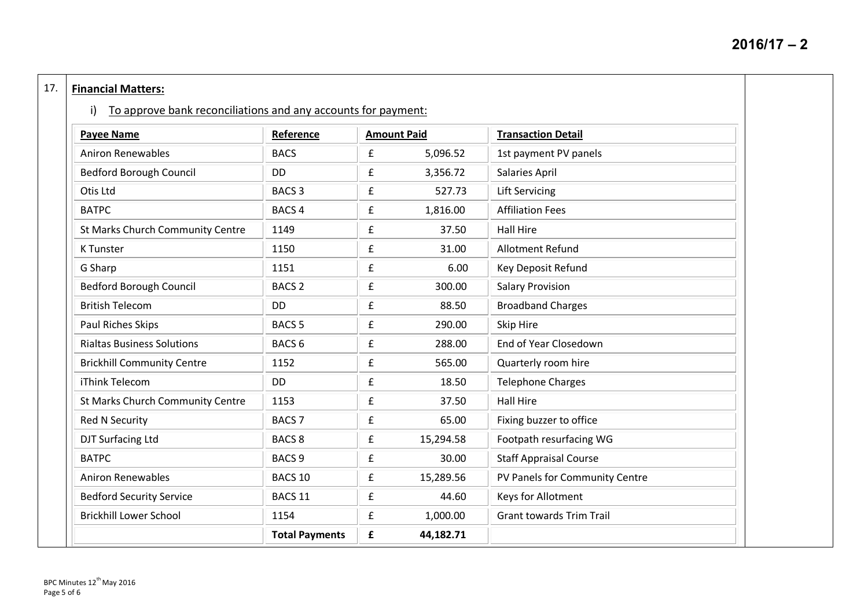## 17. **Financial Matters:**

i) To approve bank reconciliations and any accounts for payment:

| <b>Payee Name</b>                 | Reference             | <b>Amount Paid</b> |           | <b>Transaction Detail</b>       |
|-----------------------------------|-----------------------|--------------------|-----------|---------------------------------|
| <b>Aniron Renewables</b>          | <b>BACS</b>           | £                  | 5,096.52  | 1st payment PV panels           |
| <b>Bedford Borough Council</b>    | DD                    | £                  | 3,356.72  | Salaries April                  |
| Otis Ltd                          | <b>BACS 3</b>         | $\pmb{\mathsf{f}}$ | 527.73    | <b>Lift Servicing</b>           |
| <b>BATPC</b>                      | <b>BACS 4</b>         | £                  | 1,816.00  | <b>Affiliation Fees</b>         |
| St Marks Church Community Centre  | 1149                  | £                  | 37.50     | <b>Hall Hire</b>                |
| <b>K</b> Tunster                  | 1150                  | £                  | 31.00     | <b>Allotment Refund</b>         |
| G Sharp                           | 1151                  | $\pmb{\mathsf{f}}$ | 6.00      | Key Deposit Refund              |
| <b>Bedford Borough Council</b>    | <b>BACS 2</b>         | $\pmb{\mathsf{f}}$ | 300.00    | <b>Salary Provision</b>         |
| <b>British Telecom</b>            | <b>DD</b>             | $\pmb{\mathsf{f}}$ | 88.50     | <b>Broadband Charges</b>        |
| Paul Riches Skips                 | <b>BACS 5</b>         | £                  | 290.00    | Skip Hire                       |
| <b>Rialtas Business Solutions</b> | <b>BACS 6</b>         | £                  | 288.00    | End of Year Closedown           |
| <b>Brickhill Community Centre</b> | 1152                  | $\pmb{\mathsf{f}}$ | 565.00    | Quarterly room hire             |
| iThink Telecom                    | <b>DD</b>             | £                  | 18.50     | <b>Telephone Charges</b>        |
| St Marks Church Community Centre  | 1153                  | £                  | 37.50     | <b>Hall Hire</b>                |
| <b>Red N Security</b>             | <b>BACS 7</b>         | £                  | 65.00     | Fixing buzzer to office         |
| DJT Surfacing Ltd                 | <b>BACS 8</b>         | $\pmb{\mathsf{f}}$ | 15,294.58 | Footpath resurfacing WG         |
| <b>BATPC</b>                      | BACS <sub>9</sub>     | $\pmb{\mathsf{f}}$ | 30.00     | <b>Staff Appraisal Course</b>   |
| <b>Aniron Renewables</b>          | BACS <sub>10</sub>    | £                  | 15,289.56 | PV Panels for Community Centre  |
| <b>Bedford Security Service</b>   | BACS 11               | £                  | 44.60     | Keys for Allotment              |
| <b>Brickhill Lower School</b>     | 1154                  | £                  | 1,000.00  | <b>Grant towards Trim Trail</b> |
|                                   | <b>Total Payments</b> | $\mathbf f$        | 44,182.71 |                                 |